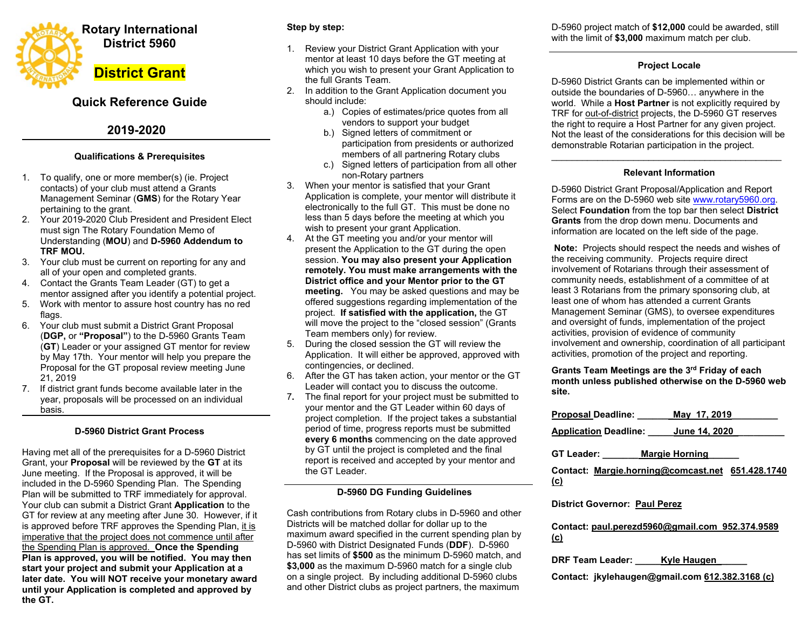

# **Quick Reference Guide**

# **2019-2020**

# **Qualifications & Prerequisites**

- 1. To qualify, one or more member(s) (ie. Project contacts) of your club must attend a Grants Management Seminar (**GMS**) for the Rotary Year pertaining to the grant.
- 2. Your 2019-2020 Club President and President Elect must sign The Rotary Foundation Memo of Understanding (**MOU**) and **D-5960 Addendum to TRF MOU.**
- 3. Your club must be current on reporting for any and all of your open and completed grants.
- 4. Contact the Grants Team Leader (GT) to get a mentor assigned after you identify a potential project.
- 5. Work with mentor to assure host country has no red flags.
- 6. Your club must submit a District Grant Proposal (**DGP,** or **"Proposal"**) to the D-5960 Grants Team (**GT**) Leader or your assigned GT mentor for review by May 17th. Your mentor will help you prepare the Proposal for the GT proposal review meeting June 21, 2019
- 7. If district grant funds become available later in the year, proposals will be processed on an individual basis.

# **D-5960 District Grant Process**

Having met all of the prerequisites for a D-5960 District Grant, your **Proposal** will be reviewed by the **GT** at its June meeting. If the Proposal is approved, it will be included in the D-5960 Spending Plan. The Spending Plan will be submitted to TRF immediately for approval. Your club can submit a District Grant **Application** to the GT for review at any meeting after June 30. However, if it is approved before TRF approves the Spending Plan, it is imperative that the project does not commence until after the Spending Plan is approved. **Once the Spending Plan is approved, you will be notified. You may then start your project and submit your Application at a later date. You will NOT receive your monetary award until your Application is completed and approved by the GT.** 

# **Step by step:**

- 1. Review your District Grant Application with your mentor at least 10 days before the GT meeting at which you wish to present your Grant Application to the full Grants Team.
- 2. In addition to the Grant Application document you should include:
	- a.) Copies of estimates/price quotes from all vendors to support your budget
	- b.) Signed letters of commitment or participation from presidents or authorized members of all partnering Rotary clubs
	- c.) Signed letters of participation from all other non-Rotary partners
- 3. When your mentor is satisfied that your Grant Application is complete, your mentor will distribute it electronically to the full GT. This must be done no less than 5 days before the meeting at which you wish to present your grant Application.
- 4. At the GT meeting you and/or your mentor will present the Application to the GT during the open session. **You may also present your Application remotely. You must make arrangements with the District office and your Mentor prior to the GT meeting.** You may be asked questions and may be offered suggestions regarding implementation of the project. **If satisfied with the application,** the GT will move the project to the "closed session" (Grants Team members only) for review.
- 5. During the closed session the GT will review the Application. It will either be approved, approved with contingencies, or declined.
- 6. After the GT has taken action, your mentor or the GT Leader will contact you to discuss the outcome.
- 7**.** The final report for your project must be submitted to your mentor and the GT Leader within 60 days of project completion. If the project takes a substantial period of time, progress reports must be submitted **every 6 months** commencing on the date approved by GT until the project is completed and the final report is received and accepted by your mentor and the GT Leader.

#### **D-5960 DG Funding Guidelines**

Cash contributions from Rotary clubs in D-5960 and other Districts will be matched dollar for dollar up to the maximum award specified in the current spending plan by D-5960 with District Designated Funds (**DDF**). D-5960 has set limits of **\$500** as the minimum D-5960 match, and **\$3,000** as the maximum D-5960 match for a single club on a single project. By including additional D-5960 clubs and other District clubs as project partners, the maximum

D-5960 project match of **\$12,000** could be awarded, still with the limit of **\$3,000** maximum match per club.

### **Project Locale**

D-5960 District Grants can be implemented within or outside the boundaries of D-5960… anywhere in the world. While a **Host Partner** is not explicitly required by TRF for out-of-district projects, the D-5960 GT reserves the right to require a Host Partner for any given project. Not the least of the considerations for this decision will be demonstrable Rotarian participation in the project.

#### \_\_\_\_\_\_\_\_\_\_\_\_\_\_\_\_\_\_\_\_\_\_\_\_\_\_\_\_\_\_\_\_\_\_\_\_\_\_\_\_\_\_\_\_\_ **Relevant Information**

D-5960 District Grant Proposal/Application and Report Forms are on the D-5960 web site www.rotary5960.org. Select **Foundation** from the top bar then select **District Grants** from the drop down menu. Documents and information are located on the left side of the page.

 **Note:** Projects should respect the needs and wishes of the receiving community. Projects require direct involvement of Rotarians through their assessment of community needs, establishment of a committee of at least 3 Rotarians from the primary sponsoring club, at least one of whom has attended a current Grants Management Seminar (GMS), to oversee expenditures and oversight of funds, implementation of the project activities, provision of evidence of community involvement and ownership, coordination of all participant activities, promotion of the project and reporting.

**Grants Team Meetings are the 3rd Friday of each month unless published otherwise on the D-5960 web site.** 

| <b>Proposal Deadline:</b>                                      | May 17, 2019          |  |
|----------------------------------------------------------------|-----------------------|--|
| Application Deadline: June 14, 2020                            |                       |  |
| GT Leader:                                                     | <b>Margie Horning</b> |  |
| Contact: Margie.horning@comcast.net 651.428.1740<br><u>(c)</u> |                       |  |
| <b>District Governor: Paul Perez</b>                           |                       |  |

#### **Contact: paul.perezd5960@gmail.com 952.374.9589 (c)**

**DRF Team Leader: Kyle Haugen** 

**Contact: jkylehaugen@gmail.com 612.382.3168 (c)**